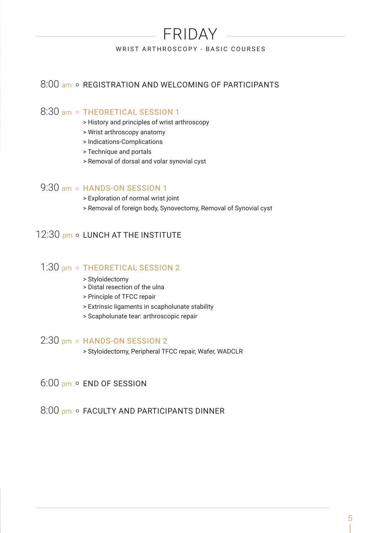# FRIDAY

#### WRIST ARTHROSCOPY - BASIC COURSES

## 8:00 am o REGISTRATION AND WELCOMING OF PARTICIPANTS

## 8:30 am o THEORETICAL SESSION 1

- > History and principles of wrist arthroscopy
- > Wrist arthroscopy anatomy
- > Indications-Complications
- > Technique and portals
- > Removal of dorsal and volar synovial cyst

# 9:30 am o HANDS-ON SESSION 1

- > Exploration of normal wrist joint
- > Removal of foreign body, Synovectomy, Removal of Synovial cyst

## 12:30 pm o LUNCH AT THE INSTITUTE

#### 1:30 pm o THEORETICAL SESSION 2

- > Styloidectomy
- > Distal resection of the ulna
- > Principle of TFCC repair
- > Extrinsic ligaments in scapholunate stability
- > Scapholunate tear: arthroscopic repair

### $2:30$  pm  $\circ$  HANDS-ON SESSION 2

- > Styloidectomy, Peripheral TFCC repair, Wafer, WADCLR
- 6:00 pm o END OF SESSION
- 8:00 pm · FACULTY AND PARTICIPANTS DINNER